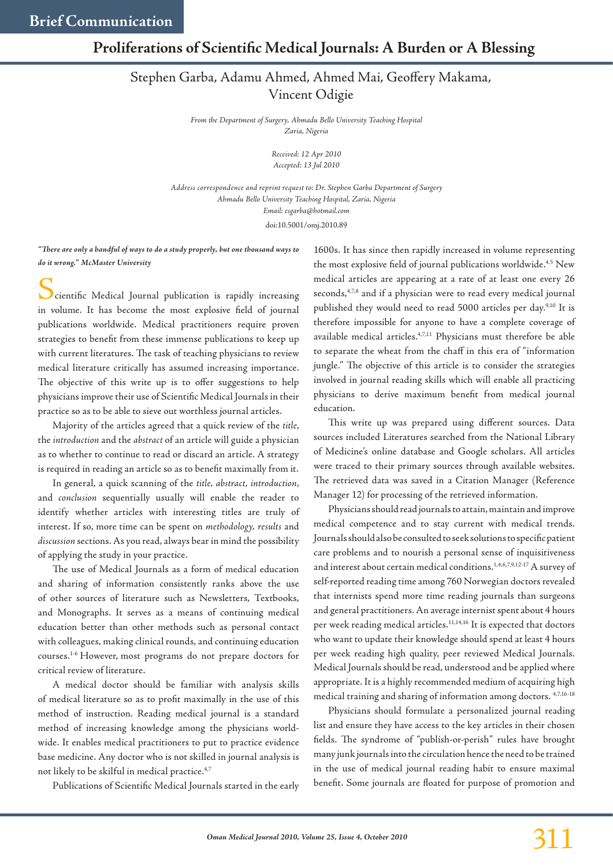## **Proliferations of Scientific Medical Journals: A Burden or A Blessing**

## Stephen Garba, Adamu Ahmed, Ahmed Mai, Geoffery Makama, Vincent Odigie

*From the Department of Surgery, Ahmadu Bello University Teaching Hospital Zaria, Nigeria*

> *Received: 12 Apr 2010 Accepted: 13 Jul 2010*

*Address correspondence and reprint request to: Dr. Stephen Garba Department of Surgery Ahmadu Bello University Teaching Hospital, Zaria, Nigeria Email: esgarba@hotmail.com* doi:10.5001/omj.2010.89

*"There are only a handful of ways to do a study properly, but one thousand ways to do it wrong." McMaster University*

cientific Medical Journal publication is rapidly increasing in volume. It has become the most explosive field of journal publications worldwide. Medical practitioners require proven strategies to benefit from these immense publications to keep up with current literatures. The task of teaching physicians to review medical literature critically has assumed increasing importance. The objective of this write up is to offer suggestions to help physicians improve their use of Scientific Medical Journals in their practice so as to be able to sieve out worthless journal articles.

Majority of the articles agreed that a quick review of the *title*, the *introduction* and the *abstract* of an article will guide a physician as to whether to continue to read or discard an article. A strategy is required in reading an article so as to benefit maximally from it.

In general, a quick scanning of the *title, abstract*, *introduction*, and *conclusion* sequentially usually will enable the reader to identify whether articles with interesting titles are truly of interest. If so, more time can be spent on *methodology, results* and *discussion* sections. As you read, always bear in mind the possibility of applying the study in your practice.

The use of Medical Journals as a form of medical education and sharing of information consistently ranks above the use of other sources of literature such as Newsletters, Textbooks, and Monographs. It serves as a means of continuing medical education better than other methods such as personal contact with colleagues, making clinical rounds, and continuing education courses.1-6 However, most programs do not prepare doctors for critical review of literature.

A medical doctor should be familiar with analysis skills of medical literature so as to profit maximally in the use of this method of instruction. Reading medical journal is a standard method of increasing knowledge among the physicians worldwide. It enables medical practitioners to put to practice evidence base medicine. Any doctor who is not skilled in journal analysis is not likely to be skilful in medical practice.4,7

Publications of Scientific Medical Journals started in the early

1600s. It has since then rapidly increased in volume representing the most explosive field of journal publications worldwide.<sup>4,5</sup> New medical articles are appearing at a rate of at least one every 26 seconds,<sup>4,7,8</sup> and if a physician were to read every medical journal published they would need to read 5000 articles per day.<sup>9,10</sup> It is therefore impossible for anyone to have a complete coverage of available medical articles.4,7,11 Physicians must therefore be able to separate the wheat from the chaff in this era of "information jungle." The objective of this article is to consider the strategies involved in journal reading skills which will enable all practicing physicians to derive maximum benefit from medical journal education.

This write up was prepared using different sources. Data sources included Literatures searched from the National Library of Medicine's online database and Google scholars. All articles were traced to their primary sources through available websites. The retrieved data was saved in a Citation Manager (Reference Manager 12) for processing of the retrieved information.

Physicians should read journals to attain, maintain and improve medical competence and to stay current with medical trends. Journals should also be consulted to seek solutions to specific patient care problems and to nourish a personal sense of inquisitiveness and interest about certain medical conditions.<sup>1,4,6,7,9,12-17</sup> A survey of self-reported reading time among 760 Norwegian doctors revealed that internists spend more time reading journals than surgeons and general practitioners. An average internist spent about 4 hours per week reading medical articles.<sup>11,14,16</sup> It is expected that doctors who want to update their knowledge should spend at least 4 hours per week reading high quality, peer reviewed Medical Journals. Medical Journals should be read, understood and be applied where appropriate. It is a highly recommended medium of acquiring high medical training and sharing of information among doctors. 4,7,16-18

Physicians should formulate a personalized journal reading list and ensure they have access to the key articles in their chosen fields. The syndrome of "publish-or-perish" rules have brought many junk journals into the circulation hence the need to be trained in the use of medical journal reading habit to ensure maximal benefit. Some journals are floated for purpose of promotion and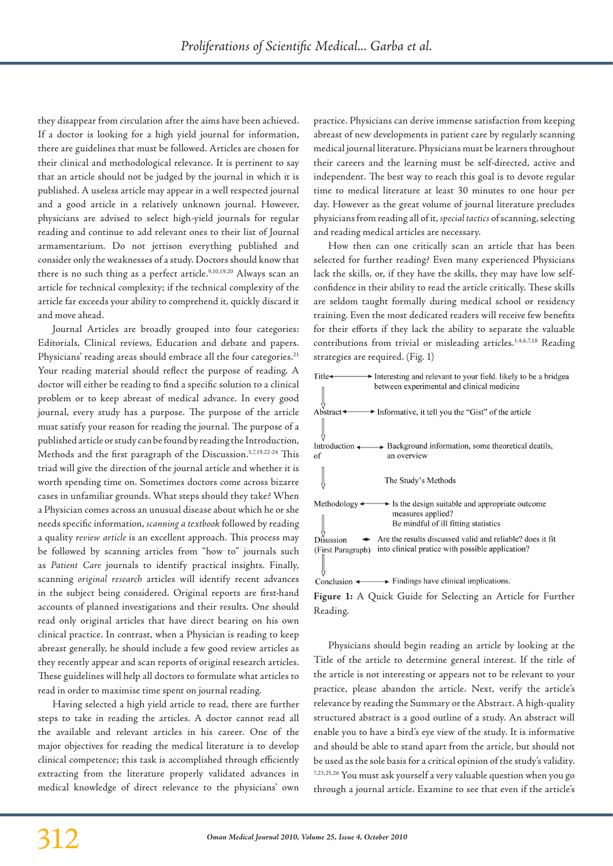they disappear from circulation after the aims have been achieved. If a doctor is looking for a high yield journal for information, there are guidelines that must be followed. Articles are chosen for their clinical and methodological relevance. It is pertinent to say that an article should not be judged by the journal in which it is published. A useless article may appear in a well respected journal and a good article in a relatively unknown journal. However, physicians are advised to select high-yield journals for regular reading and continue to add relevant ones to their list of Journal armamentarium. Do not jettison everything published and consider only the weaknesses of a study. Doctors should know that there is no such thing as a perfect article.<sup>9,10,19,20</sup> Always scan an article for technical complexity; if the technical complexity of the article far exceeds your ability to comprehend it, quickly discard it and move ahead.

Journal Articles are broadly grouped into four categories: Editorials, Clinical reviews, Education and debate and papers. Physicians' reading areas should embrace all the four categories.<sup>21</sup> Your reading material should reflect the purpose of reading. A doctor will either be reading to find a specific solution to a clinical problem or to keep abreast of medical advance. In every good journal, every study has a purpose. The purpose of the article must satisfy your reason for reading the journal. The purpose of a published article or study can be found by reading the Introduction, Methods and the first paragraph of the Discussion.<sup>3,7,19,22-24</sup> This triad will give the direction of the journal article and whether it is worth spending time on. Sometimes doctors come across bizarre cases in unfamiliar grounds. What steps should they take? When a Physician comes across an unusual disease about which he or she needs specific information, *scanning a textbook* followed by reading a quality *review article* is an excellent approach. This process may be followed by scanning articles from "how to" journals such as *Patient Care* journals to identify practical insights. Finally, scanning *original research* articles will identify recent advances in the subject being considered. Original reports are first-hand accounts of planned investigations and their results. One should read only original articles that have direct bearing on his own clinical practice. In contrast, when a Physician is reading to keep abreast generally, he should include a few good review articles as they recently appear and scan reports of original research articles. These guidelines will help all doctors to formulate what articles to read in order to maximise time spent on journal reading.

Having selected a high yield article to read, there are further steps to take in reading the articles. A doctor cannot read all the available and relevant articles in his career. One of the major objectives for reading the medical literature is to develop clinical competence; this task is accomplished through efficiently extracting from the literature properly validated advances in medical knowledge of direct relevance to the physicians' own

practice. Physicians can derive immense satisfaction from keeping abreast of new developments in patient care by regularly scanning medical journal literature. Physicians must be learners throughout their careers and the learning must be self-directed, active and independent. The best way to reach this goal is to devote regular time to medical literature at least 30 minutes to one hour per day. However as the great volume of journal literature precludes physicians from reading all of it, *special tactics* of scanning, selecting and reading medical articles are necessary.

How then can one critically scan an article that has been selected for further reading? Even many experienced Physicians lack the skills, or, if they have the skills, they may have low selfconfidence in their ability to read the article critically. These skills are seldom taught formally during medical school or residency training. Even the most dedicated readers will receive few benefits for their efforts if they lack the ability to separate the valuable contributions from trivial or misleading articles.<sup>1,4,6,7,18</sup> Reading strategies are required. (Fig. 1)



**Figure 1:** A Quick Guide for Selecting an Article for Further Reading.

Physicians should begin reading an article by looking at the Title of the article to determine general interest. If the title of the article is not interesting or appears not to be relevant to your practice, please abandon the article. Next, verify the article's relevance by reading the Summary or the Abstract. A high-quality structured abstract is a good outline of a study. An abstract will enable you to have a bird's eye view of the study. It is informative and should be able to stand apart from the article, but should not be used as the sole basis for a critical opinion of the study's validity. 7,23,25,26 You must ask yourself a very valuable question when you go through a journal article. Examine to see that even if the article's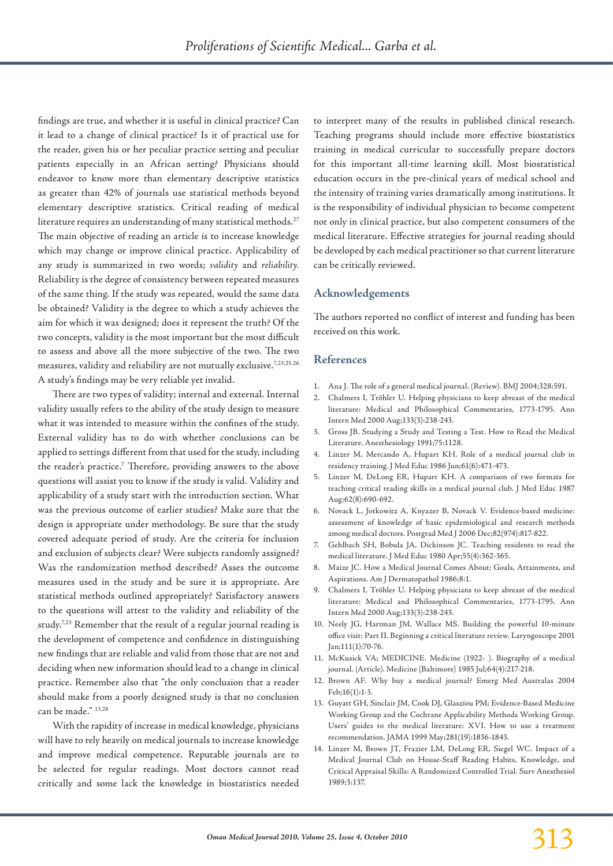findings are true, and whether it is useful in clinical practice? Can it lead to a change of clinical practice? Is it of practical use for the reader, given his or her peculiar practice setting and peculiar patients especially in an African setting? Physicians should endeavor to know more than elementary descriptive statistics as greater than 42% of journals use statistical methods beyond elementary descriptive statistics. Critical reading of medical literature requires an understanding of many statistical methods.<sup>27</sup> The main objective of reading an article is to increase knowledge which may change or improve clinical practice. Applicability of any study is summarized in two words; *validity* and *reliability.* Reliability is the degree of consistency between repeated measures of the same thing. If the study was repeated, would the same data be obtained? Validity is the degree to which a study achieves the aim for which it was designed; does it represent the truth? Of the two concepts, validity is the most important but the most difficult to assess and above all the more subjective of the two. The two measures, validity and reliability are not mutually exclusive.7,23,25,26 A study's findings may be very reliable yet invalid.

There are two types of validity; internal and external. Internal validity usually refers to the ability of the study design to measure what it was intended to measure within the confines of the study. External validity has to do with whether conclusions can be applied to settings different from that used for the study, including the reader's practice.<sup>7</sup> Therefore, providing answers to the above questions will assist you to know if the study is valid. Validity and applicability of a study start with the introduction section. What was the previous outcome of earlier studies? Make sure that the design is appropriate under methodology. Be sure that the study covered adequate period of study. Are the criteria for inclusion and exclusion of subjects clear? Were subjects randomly assigned? Was the randomization method described? Asses the outcome measures used in the study and be sure it is appropriate. Are statistical methods outlined appropriately? Satisfactory answers to the questions will attest to the validity and reliability of the study.7,23 Remember that the result of a regular journal reading is the development of competence and confidence in distinguishing new findings that are reliable and valid from those that are not and deciding when new information should lead to a change in clinical practice. Remember also that "the only conclusion that a reader should make from a poorly designed study is that no conclusion can be made." 13,28

With the rapidity of increase in medical knowledge, physicians will have to rely heavily on medical journals to increase knowledge and improve medical competence. Reputable journals are to be selected for regular readings. Most doctors cannot read critically and some lack the knowledge in biostatistics needed to interpret many of the results in published clinical research. Teaching programs should include more effective biostatistics training in medical curricular to successfully prepare doctors for this important all-time learning skill. Most biostatistical education occurs in the pre-clinical years of medical school and the intensity of training varies dramatically among institutions. It is the responsibility of individual physician to become competent not only in clinical practice, but also competent consumers of the medical literature. Effective strategies for journal reading should be developed by each medical practitioner so that current literature can be critically reviewed.

## **Acknowledgements**

The authors reported no conflict of interest and funding has been received on this work.

## **References**

- 1. Ana J. The role of a general medical journal. (Review). BMJ 2004;328:591.
- 2. Chalmers I, Tröhler U. Helping physicians to keep abreast of the medical literature: Medical and Philosophical Commentaries, 1773-1795. Ann Intern Med 2000 Aug;133(3):238-243.
- 3. Gross JB. Studying a Study and Testing a Test. How to Read the Medical Literature. Anesthesiology 1991;75:1128.
- 4. Linzer M, Mercando A, Hupart KH. Role of a medical journal club in residency training. J Med Educ 1986 Jun;61(6):471-473.
- 5. Linzer M, DeLong ER, Hupart KH. A comparison of two formats for teaching critical reading skills in a medical journal club. J Med Educ 1987 Aug;62(8):690-692.
- 6. Novack L, Jotkowitz A, Knyazer B, Novack V. Evidence-based medicine: assessment of knowledge of basic epidemiological and research methods among medical doctors. Postgrad Med J 2006 Dec;82(974):817-822.
- 7. Gehlbach SH, Bobula JA, Dickinson JC. Teaching residents to read the medical literature. J Med Educ 1980 Apr;55(4):362-365.
- 8. Maize JC. How a Medical Journal Comes About: Goals, Attainments, and Aspirations. Am J Dermatopathol 1986;8:1.
- 9. Chalmers I, Tröhler U. Helping physicians to keep abreast of the medical literature: Medical and Philosophical Commentaries, 1773-1795. Ann Intern Med 2000 Aug;133(3):238-243.
- 10. Neely JG, Hartman JM, Wallace MS. Building the powerful 10-minute office visit: Part II. Beginning a critical literature review. Laryngoscope 2001 Jan;111(1):70-76.
- 11. McKusick VA; MEDICINE. Medicine (1922- ). Biography of a medical journal. (Article). Medicine (Baltimore) 1985 Jul;64(4):217-218.
- 12. Brown AF. Why buy a medical journal? Emerg Med Australas 2004 Feb;16(1):1-3.
- 13. Guyatt GH, Sinclair JM, Cook DJ, Glasziou PM; Evidence-Based Medicine Working Group and the Cochrane Applicability Methods Working Group. Users' guides to the medical literature: XVI. How to use a treatment recommendation. JAMA 1999 May;281(19):1836-1843.
- 14. Linzer M, Brown JT, Frazier LM, DeLong ER, Siegel WC. Impact of a Medical Journal Club on House-Staff Reading Habits, Knowledge, and Critical Appraisal Skills: A Randomized Controlled Trial. Surv Anesthesiol 1989;3:137.